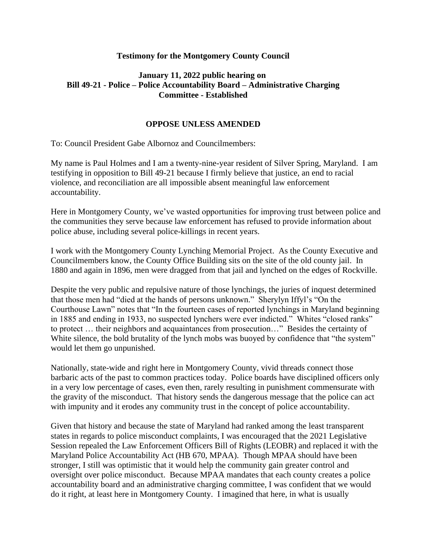## **Testimony for the Montgomery County Council**

## **January 11, 2022 public hearing on Bill 49-21 - Police – Police Accountability Board – Administrative Charging Committee - Established**

## **OPPOSE UNLESS AMENDED**

To: Council President Gabe Albornoz and Councilmembers:

My name is Paul Holmes and I am a twenty-nine-year resident of Silver Spring, Maryland. I am testifying in opposition to Bill 49-21 because I firmly believe that justice, an end to racial violence, and reconciliation are all impossible absent meaningful law enforcement accountability.

Here in Montgomery County, we've wasted opportunities for improving trust between police and the communities they serve because law enforcement has refused to provide information about police abuse, including several police-killings in recent years.

I work with the Montgomery County Lynching Memorial Project. As the County Executive and Councilmembers know, the County Office Building sits on the site of the old county jail. In 1880 and again in 1896, men were dragged from that jail and lynched on the edges of Rockville.

Despite the very public and repulsive nature of those lynchings, the juries of inquest determined that those men had "died at the hands of persons unknown." Sherylyn Iffyl's "On the Courthouse Lawn" notes that "In the fourteen cases of reported lynchings in Maryland beginning in 1885 and ending in 1933, no suspected lynchers were ever indicted." Whites "closed ranks" to protect … their neighbors and acquaintances from prosecution…" Besides the certainty of White silence, the bold brutality of the lynch mobs was buoyed by confidence that "the system" would let them go unpunished.

Nationally, state-wide and right here in Montgomery County, vivid threads connect those barbaric acts of the past to common practices today. Police boards have disciplined officers only in a very low percentage of cases, even then, rarely resulting in punishment commensurate with the gravity of the misconduct. That history sends the dangerous message that the police can act with impunity and it erodes any community trust in the concept of police accountability.

Given that history and because the state of Maryland had ranked among the least transparent states in regards to police misconduct complaints, I was encouraged that the 2021 Legislative Session repealed the Law Enforcement Officers Bill of Rights (LEOBR) and replaced it with the Maryland Police Accountability Act (HB 670, MPAA). Though MPAA should have been stronger, I still was optimistic that it would help the community gain greater control and oversight over police misconduct. Because MPAA mandates that each county creates a police accountability board and an administrative charging committee, I was confident that we would do it right, at least here in Montgomery County. I imagined that here, in what is usually